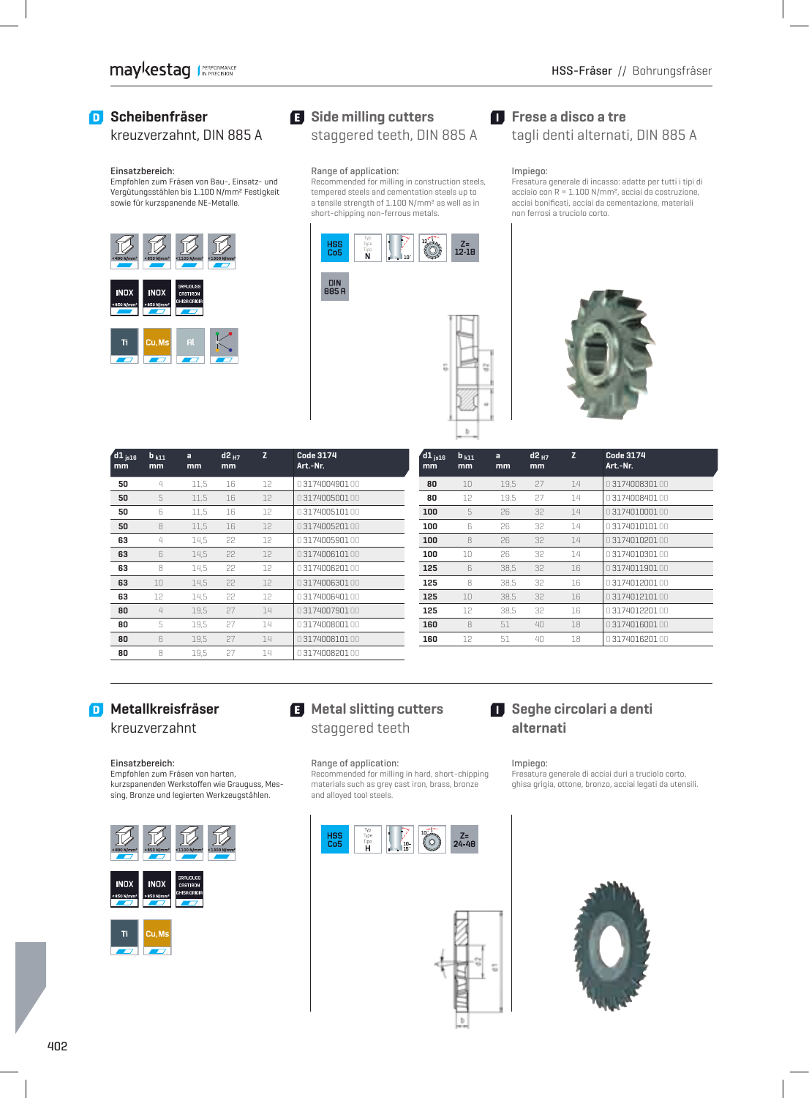## **Scheibenfräser**

## kreuzverzahnt, DIN 885 A

#### Einsatzbereich:

Empfohlen zum Fräsen von Bau-, Einsatz- und Vergütungsstählen bis 1.100 N/mm² Festigkeit sowie für kurzspanende NE-Metalle.



## **B** Side milling cutters

staggered teeth, DIN 885 A

#### Range of application:

 Recommended for milling in construction steels, tempered steels and cementation steels up to a tensile strength of 1.100 N/mm² as well as in short-chipping non-ferrous metals.



## $\blacksquare$  Frese a disco a tre

tagli denti alternati, DIN 885 A

#### Impiego:

 Fresatura generale di incasso: adatte per tutti i tipi di acciaio con R = 1.100 N/mm², acciai da costruzione, acciai bonificati, acciai da cementazione, materiali non ferrosi a truciolo corto.



| $d1_{is16}$<br>mm | $b_{k11}$<br>mm          | a<br>mm | $d2_{H7}$<br>mm | z  | <b>Code 3174</b><br>Art.-Nr. |
|-------------------|--------------------------|---------|-----------------|----|------------------------------|
| 50                | 4                        | 11.5    | 16              | 12 | 0317400490100                |
| 50                | 5                        | 11,5    | 16              | 12 | 0317400500100                |
| 50                | 6                        | 11.5    | 16              | 12 | 0317400510100                |
| 50                | 8                        | 11,5    | 16              | 12 | 0317400520100                |
| 63                | $\mathcal{L}% _{0}$      | 14.5    | 22              | 12 | 0317400590100                |
| 63                | 6                        | 14.5    | 22              | 12 | 0317400610100                |
| 63                | 8                        | 14.5    | 22              | 12 | 0317400620100                |
| 63                | 10                       | 14.5    | 22              | 12 | 0317400630100                |
| 63                | 12                       | 14,5    | 22              | 12 | 0317400640100                |
| 80                | $\overline{\mathcal{L}}$ | 19,5    | 27              | 14 | 0317400790100                |
| 80                | 5                        | 19,5    | 27              | 14 | 0317400800100                |
| 80                | 6                        | 19,5    | 27              | 14 | 0317400810100                |
| 80                | 8                        | 19.5    | 27              | 14 | 0317400820100                |

| $b_{k11}$<br>mm | a<br>mm | $d2_{H7}$<br>mm | Z  | <b>Code 3174</b><br>Art.-Nr. |
|-----------------|---------|-----------------|----|------------------------------|
| 10              | 19,5    | 27              | 14 | 0317400830100                |
| 12              | 19,5    | 27              | 14 | 0317400840100                |
| 5               | 26      | 32              | 14 | 0.317401000100               |
| 6               | 26      | 32              | 14 | 0317401010100                |
| 8               | 26      | 32              | 14 | 0317401020100                |
| 10              | 26      | 32              | 14 | 0.317401030100               |
| 6               | 38,5    | 32              | 16 | 0317401190100                |
| 8               | 38.5    | 32              | 16 | 0317401200100                |
| 10              | 38,5    | 32              | 16 | 0317401210100                |
| 12              | 38.5    | 32              | 16 | 0317401220100                |
| 8               | 51      | 40              | 18 | 0317401600100                |
| 12              | 51      | 40              | 18 | 0317401620100                |
|                 |         |                 |    |                              |

## **Metallkreisfräser**

## kreuzverzahnt

#### Einsatzbereich:

 Empfohlen zum Fräsen von harten, kurzspanenden Werkstoffen wie Grauguss, Messing, Bronze und legierten Werkzeugstählen.



## $\blacksquare$  Metal slitting cutters staggered teeth

#### Range of application:

 Recommended for milling in hard, short-chipping materials such as grey cast iron, brass, bronze and alloyed tool steels.





## **Seghe circolari a denti alternati**

#### Impiego:

 Fresatura generale di acciai duri a truciolo corto, ghisa grigia, ottone, bronzo, acciai legati da utensili.

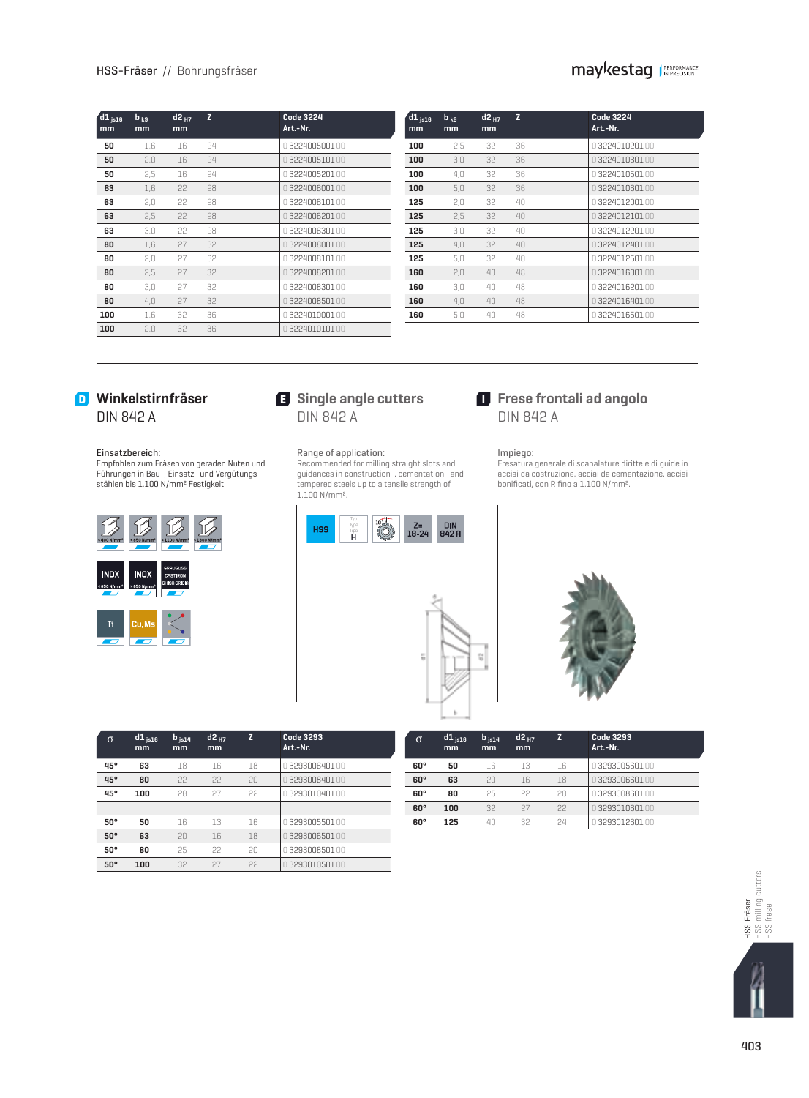| $d1$ <sub>is16</sub><br>mm | $\mathbf{b}_{k9}$<br>mm | $d^2H^7$<br>mm | z  | <b>Code 3224</b><br>Art.-Nr. |
|----------------------------|-------------------------|----------------|----|------------------------------|
| 50                         | 1,6                     | 16             | 24 | 0322400500100                |
| 50                         | 2,0                     | 16             | 24 | 0322400510100                |
| 50                         | 2.5                     | 16             | 24 | 0322400520100                |
| 63                         | 1,6                     | 22             | 28 | 0322400600100                |
| 63                         | 2,0                     | 22             | 28 | 0322400610100                |
| 63                         | 2.5                     | 22             | 28 | 0322400620100                |
| 63                         | 3,0                     | 22             | 28 | 0.3224006301.00              |
| 80                         | 1,6                     | 27             | 32 | 0322400800100                |
| 80                         | 2,0                     | 27             | 32 | 0322400810100                |
| 80                         | 2,5                     | 27             | 32 | 0322400820100                |
| 80                         | 3.0                     | 27             | 32 | 0322400830100                |
| 80                         | 4.0                     | 27             | 32 | 0322400850100                |
| 100                        | $1.6\,$                 | 32             | 36 | 0322401000100                |
| 100                        | 2,0                     | 32             | 36 | 0322401010100                |

| $d1_{js16}$<br>mm | $b_{k9}$<br>mm | $d2_{H7}$<br>mm | Z  | <b>Code 3224</b><br>Art.-Nr. |
|-------------------|----------------|-----------------|----|------------------------------|
| 100               | 2.5            | 32              | 36 | 0322401020100                |
| 100               | 3.0            | 32              | 36 | 0322401030100                |
| 100               | 4.0            | 32              | 36 | 0322401050100                |
| 100               | 5,0            | 32              | 36 | 0322401060100                |
| 125               | 2.0            | 32              | 40 | 0322401200100                |
| 125               | 2.5            | 32              | 40 | 0322401210100                |
| 125               | 3.0            | 32              | 40 | 0322401220100                |
| 125               | 4,0            | 32              | 40 | 0322401240100                |
| 125               | 5.0            | 32              | 40 | 0322401250100                |
| 160               | 2,0            | 40              | 48 | 0322401600100                |
| 160               | 3.0            | 40              | 48 | 0322401620100                |
| 160               | 4,0            | 40              | 48 | 0322401640100                |
| 160               | 5.0            | 40              | 48 | 0322401650100                |

## **Winkelstirnfräser**

DIN 842 A

### Einsatzbereich:

 Empfohlen zum Fräsen von geraden Nuten und Führungen in Bau-, Einsatz- und Vergütungsstählen bis 1.100 N/mm² Festigkeit.



σ **d1 js16 mm**

**50° 100** 32 27 22 0 3293010501 00

## **Single angle cutters** DIN 842 A

#### Range of application:

 Recommended for milling straight slots and guidances in construction-, cementation- and tempered steels up to a tensile strength of 1.100 N/mm².



## $\blacksquare$  Frese frontali ad angolo DIN 842 A

#### Impiego:

Fresatura generale di scanalature diritte e di guide in acciai da costruzione, acciai da cementazione, acciai bonificati, con R fino a 1.100 N/mm<sup>2</sup>.



|            | $d1_{jsl6}$<br>mm | $b$ is 14<br>mm | $d2_{H7}$<br>mm |    | <b>Code 3293</b><br>Art.-Nr. |
|------------|-------------------|-----------------|-----------------|----|------------------------------|
| 60°        | 50                | 16              | 13              | 16 | 0329300560100                |
| $60^\circ$ | 63                | 2Ū              | 16              | 18 | 0329300660100                |
| 60°        | 80                | 25              | 22              | 20 | 0 329300860100               |
| $60^\circ$ | 100               | 32              | 27              | 22 | 0.3293010601.00              |
| 60°        | 125               | 40              | 32              | 24 | 0 3293012601 00              |

## **HSS Fräser**<br>HSS milling cutters<br>HSS frese HSS milling cutters HSS Fräser HSS frese

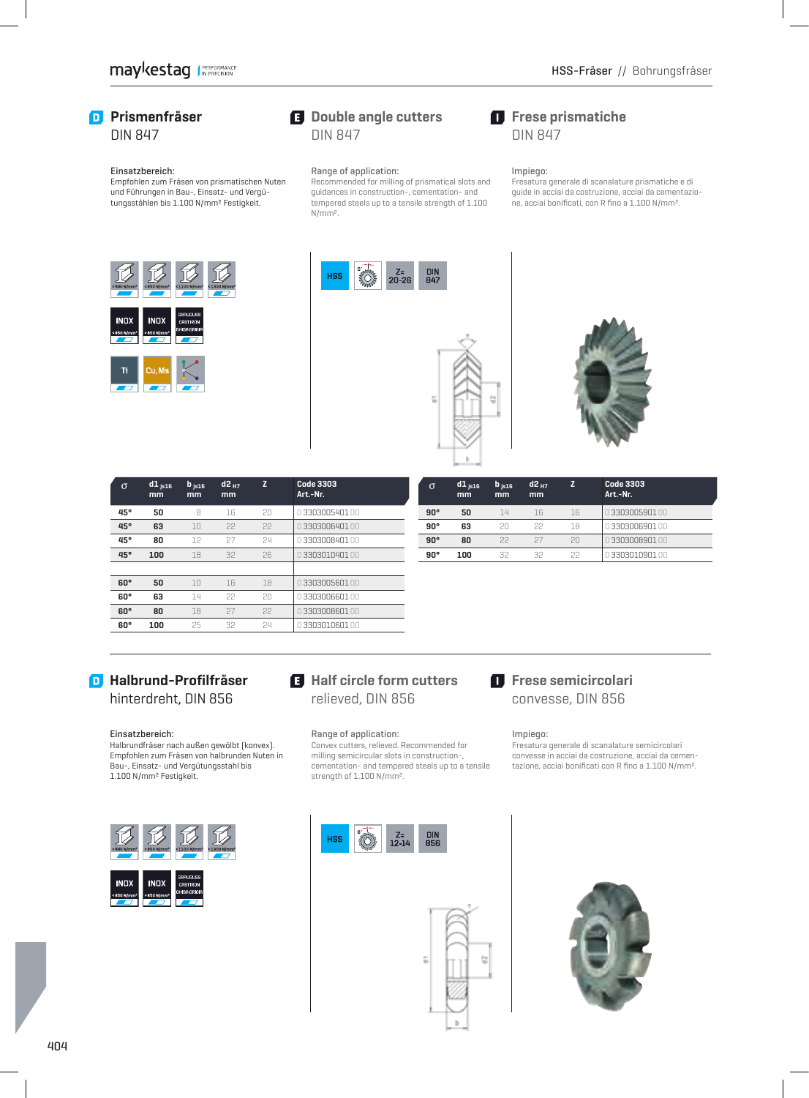## **Prismenfräser**

DIN 847

#### Einsatzbereich:

 Empfohlen zum Fräsen von prismatischen Nuten und Führungen in Bau-, Einsatz- und Vergütungsstählen bis 1.100 N/mm² Festigkeit.

# **INDY INDX**

## **Double angle cutters** DIN 847

#### Range of application:

 Recommended for milling of prismatical slots and guidances in construction-, cementation- and tempered steels up to a tensile strength of 1.100 N/mm².

## $\blacksquare$  Frese prismatiche DIN 847

#### Impiego:

 Fresatura generale di scanalature prismatiche e di guide in acciai da costruzione, acciai da cementazione, acciai bonificati, con R fino a 1.100 N/mm<sup>2</sup>.





희



| $\sigma$   | $d1_{js16}$<br>mm | $b$ is 16<br>mm | $d2_{H7}$<br>mm | Z  | <b>Code 3303</b><br>Art.-Nr. |
|------------|-------------------|-----------------|-----------------|----|------------------------------|
| 45°        | 50                | 8               | 16              | 20 | 0330300540100                |
| 45°        | 63                | 10              | 22              | 22 | 0.3303006401.00              |
| 45°        | 80                | 12              | 27              | 24 | 0.3303008401.00              |
| 45°        | 100               | 18              | 32              | 26 | 0.3303010401.00              |
|            |                   |                 |                 |    |                              |
| $60^\circ$ | 50                | 10              | 16              | 18 | 0.3303005601.00              |
| 60°        | 63                | 14              | 22              | 20 | 0330300660100                |
| $60^\circ$ | 80                | 18              | 27              | 22 | 0.3303008601.00              |
| 60°        | 100               | 25              | 32              | 24 | 0.3303010601.00              |

|     | $d1$ <sub>is16</sub><br>mm | $b$ is 16<br>mm | $d2_{H7}$<br>mm | 7  | <b>Code 3303</b><br>Art.-Nr. |
|-----|----------------------------|-----------------|-----------------|----|------------------------------|
| 90° | 50                         | 14              | 16              | 16 | 0330300590100                |
| 90° | 63                         | 2Π              | 22              | 18 | 0330300690100                |
| 90° | 80                         | 22              | 27              | 2Π | 0330300890100                |
| 90° | 100                        | 32              | 32              | 22 | N 3303010901 OO              |
|     |                            |                 |                 |    |                              |

## **Halbrund-Profilfräser** hinterdreht, DIN 856

#### Einsatzbereich:

 Halbrundfräser nach außen gewölbt (konvex). Empfohlen zum Fräsen von halbrunden Nuten in Bau-, Einsatz- und Vergütungsstahl bis 1.100 N/mm² Festigkeit.



## **Half circle form cutters** relieved, DIN 856

#### Range of application:

 Convex cutters, relieved. Recommended for milling semicircular slots in construction-, cementation- and tempered steels up to a tensile strength of 1.100 N/mm<sup>2</sup>.

## $\blacksquare$  Frese semicircolari convesse, DIN 856

#### Impiego:

 Fresatura generale di scanalature semicircolari convesse in acciai da costruzione, acciai da cementazione, acciai bonificati con R fino a 1.100 N/mm<sup>2</sup>.